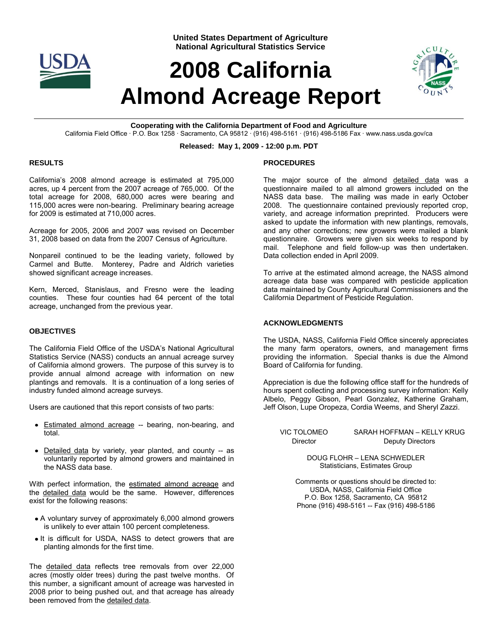

**United States Department of Agriculture National Agricultural Statistics Service**

# **2008 California Almond Acreage Report**



**Cooperating with the California Department of Food and Agriculture** California Field Office · P.O. Box 1258 · Sacramento, CA 95812 · (916) 498-5161 · (916) 498-5186 Fax · www.nass.usda.gov/ca

#### **Released: May 1, 2009 - 12:00 p.m. PDT**

#### **RESULTS**

California's 2008 almond acreage is estimated at 795,000 acres, up 4 percent from the 2007 acreage of 765,000. Of the total acreage for 2008, 680,000 acres were bearing and 115,000 acres were non-bearing. Preliminary bearing acreage for 2009 is estimated at 710,000 acres.

Acreage for 2005, 2006 and 2007 was revised on December 31, 2008 based on data from the 2007 Census of Agriculture.

Nonpareil continued to be the leading variety, followed by Carmel and Butte. Monterey, Padre and Aldrich varieties showed significant acreage increases.

Kern, Merced, Stanislaus, and Fresno were the leading counties. These four counties had 64 percent of the total acreage, unchanged from the previous year.

#### **OBJECTIVES**

The California Field Office of the USDA's National Agricultural Statistics Service (NASS) conducts an annual acreage survey of California almond growers. The purpose of this survey is to provide annual almond acreage with information on new plantings and removals. It is a continuation of a long series of industry funded almond acreage surveys.

Users are cautioned that this report consists of two parts:

- Estimated almond acreage -- bearing, non-bearing, and total.
- Detailed data by variety, year planted, and county -- as voluntarily reported by almond growers and maintained in the NASS data base.

With perfect information, the estimated almond acreage and the detailed data would be the same. However, differences exist for the following reasons:

- A voluntary survey of approximately 6,000 almond growers is unlikely to ever attain 100 percent completeness.
- It is difficult for USDA, NASS to detect growers that are planting almonds for the first time.

The detailed data reflects tree removals from over 22,000 acres (mostly older trees) during the past twelve months. Of this number, a significant amount of acreage was harvested in 2008 prior to being pushed out, and that acreage has already been removed from the detailed data.

#### **PROCEDURES**

The major source of the almond detailed data was a questionnaire mailed to all almond growers included on the NASS data base. The mailing was made in early October 2008. The questionnaire contained previously reported crop, variety, and acreage information preprinted. Producers were asked to update the information with new plantings, removals, and any other corrections; new growers were mailed a blank questionnaire. Growers were given six weeks to respond by mail. Telephone and field follow-up was then undertaken. Data collection ended in April 2009.

To arrive at the estimated almond acreage, the NASS almond acreage data base was compared with pesticide application data maintained by County Agricultural Commissioners and the California Department of Pesticide Regulation.

#### **ACKNOWLEDGMENTS**

The USDA, NASS, California Field Office sincerely appreciates the many farm operators, owners, and management firms providing the information. Special thanks is due the Almond Board of California for funding.

Appreciation is due the following office staff for the hundreds of hours spent collecting and processing survey information: Kelly Albelo, Peggy Gibson, Pearl Gonzalez, Katherine Graham, Jeff Olson, Lupe Oropeza, Cordia Weems, and Sheryl Zazzi.

VIC TOLOMEO SARAH HOFFMAN – KELLY KRUG Director Deputy Directors

> DOUG FLOHR – LENA SCHWEDLER Statisticians, Estimates Group

Comments or questions should be directed to: USDA, NASS, California Field Office P.O. Box 1258, Sacramento, CA 95812 Phone (916) 498-5161 -- Fax (916) 498-5186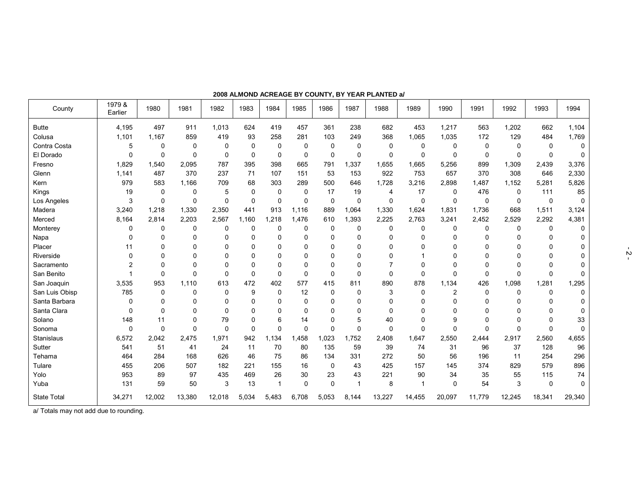| County             | 1979 &<br>Earlier | 1980        | 1981        | 1982        | 1983         | 1984           | 1985  | 1986        | 1987        | 1988        | 1989        | 1990           | 1991        | 1992     | 1993     | 1994         |
|--------------------|-------------------|-------------|-------------|-------------|--------------|----------------|-------|-------------|-------------|-------------|-------------|----------------|-------------|----------|----------|--------------|
| <b>Butte</b>       | 4,195             | 497         | 911         | 1,013       | 624          | 419            | 457   | 361         | 238         | 682         | 453         | 1,217          | 563         | 1,202    | 662      | 1,104        |
| Colusa             | 1,101             | 1,167       | 859         | 419         | 93           | 258            | 281   | 103         | 249         | 368         | 1,065       | 1,035          | 172         | 129      | 484      | 1,769        |
| Contra Costa       | 5                 | 0           | $\mathbf 0$ | $\mathbf 0$ | $\mathbf 0$  | $\Omega$       | 0     | $\mathbf 0$ | 0           | 0           | $\mathbf 0$ | 0              | $\mathbf 0$ | 0        | $\Omega$ | 0            |
| El Dorado          | $\Omega$          | $\Omega$    | $\mathbf 0$ | $\mathbf 0$ | $\mathbf 0$  | $\Omega$       | 0     | 0           | 0           | 0           | $\mathbf 0$ | $\Omega$       | $\Omega$    | $\Omega$ | $\Omega$ | $\mathbf{0}$ |
| Fresno             | 1,829             | 1,540       | 2,095       | 787         | 395          | 398            | 665   | 791         | 1,337       | 1.655       | 1,665       | 5,256          | 899         | 1,309    | 2,439    | 3,376        |
| Glenn              | 1,141             | 487         | 370         | 237         | 71           | 107            | 151   | 53          | 153         | 922         | 753         | 657            | 370         | 308      | 646      | 2,330        |
| Kern               | 979               | 583         | 1,166       | 709         | 68           | 303            | 289   | 500         | 646         | 1.728       | 3,216       | 2,898          | 1,487       | 1,152    | 5,281    | 5,826        |
| Kings              | 19                | $\mathbf 0$ | 0           | 5           | $\mathbf 0$  | 0              | 0     | 17          | 19          | 4           | 17          | $\Omega$       | 476         | 0        | 111      | 85           |
| Los Angeles        | 3                 | $\Omega$    | $\mathbf 0$ | 0           | 0            | $\Omega$       | 0     | $\mathsf 0$ | 0           | $\mathbf 0$ | $\mathbf 0$ | 0              | $\mathbf 0$ | 0        | 0        | $\Omega$     |
| Madera             | 3,240             | 1,218       | 1,330       | 2,350       | 441          | 913            | 1,116 | 889         | 1,064       | 1,330       | 1,624       | 1,831          | 1,736       | 668      | 1,511    | 3,124        |
| Merced             | 8.164             | 2,814       | 2,203       | 2.567       | .160<br>1    | 1,218          | 1,476 | 610         | 1.393       | 2,225       | 2,763       | 3,241          | 2,452       | 2,529    | 2,292    | 4,381        |
| Monterey           | 0                 | 0           | $\mathbf 0$ | 0           | $\mathbf 0$  | 0              | 0     | 0           | 0           | 0           | $\mathbf 0$ | $\Omega$       | 0           | 0        | $\Omega$ | $\Omega$     |
| Napa               | $\Omega$          | $\Omega$    | $\Omega$    | $\mathbf 0$ | $\Omega$     | $\Omega$       | 0     | 0           | $\mathbf 0$ | $\Omega$    | $\Omega$    | $\Omega$       | $\Omega$    | $\Omega$ | $\Omega$ | $\Omega$     |
| Placer             | 11                | 0           | 0           | $\Omega$    | 0            | 0              | 0     | 0           | 0           | 0           | $\Omega$    | 0              | $\Omega$    |          | $\Omega$ | 0            |
| Riverside          | $\Omega$          | $\Omega$    | $\Omega$    | 0           | $\Omega$     | 0              | 0     | 0           | $\Omega$    | 0           |             | $\Omega$       | $\Omega$    | ∩        | $\Omega$ | 0            |
| Sacramento         | $\mathcal{P}$     | $\Omega$    | $\Omega$    | $\Omega$    | $\mathbf{0}$ | $\Omega$       | 0     | 0           | 0           | 7           | $\Omega$    | $\Omega$       | $\Omega$    | $\Omega$ | $\Omega$ | $\Omega$     |
| San Benito         |                   | $\Omega$    | $\Omega$    | $\mathbf 0$ | $\mathbf 0$  | $\Omega$       | 0     | 0           | 0           | 0           | $\mathbf 0$ | $\Omega$       | $\Omega$    | $\Omega$ | $\Omega$ | $\Omega$     |
| San Joaquin        | 3,535             | 953         | 1,110       | 613         | 472          | 402            | 577   | 415         | 811         | 890         | 878         | 1,134          | 426         | 1,098    | 1,281    | 1,295        |
| San Luis Obisp     | 785               | $\Omega$    | $\mathbf 0$ | $\mathbf 0$ | 9            | $\Omega$       | 12    | 0           | $\Omega$    | 3           | $\mathbf 0$ | $\overline{c}$ | $\Omega$    | 0        | $\Omega$ | $\Omega$     |
| Santa Barbara      | $\Omega$          | 0           | $\mathbf 0$ | 0           | 0            | $\Omega$       | 0     | 0           | 0           | 0           | $\Omega$    | $\Omega$       | $\Omega$    | ∩        | $\Omega$ | $\Omega$     |
| Santa Clara        | $\Omega$          | $\Omega$    | $\Omega$    | $\mathbf 0$ | $\mathbf 0$  | 0              | 0     | 0           | $\mathbf 0$ | 0           | $\Omega$    | $\Omega$       | $\Omega$    | ŋ        | ŋ        | $\Omega$     |
| Solano             | 148               | 11          | $\mathbf 0$ | 79          | $\Omega$     | 6              | 14    | 0           | 5           | 40          | $\Omega$    | 9              | $\Omega$    | $\Omega$ | $\Omega$ | 33           |
| Sonoma             | $\mathbf 0$       | $\Omega$    | $\mathbf 0$ | 0           | $\mathbf 0$  | $\mathbf 0$    | 0     | 0           | 0           | $\mathbf 0$ | $\mathbf 0$ | $\Omega$       | 0           | $\Omega$ | $\Omega$ | $\mathbf 0$  |
| Stanislaus         | 6,572             | 2,042       | 2,475       | 1,971       | 942          | 1,134          | ,458  | 1,023       | 1,752       | 2,408       | 1,647       | 2,550          | 2,444       | 2,917    | 2,560    | 4,655        |
| Sutter             | 541               | 51          | 41          | 24          | 11           | 70             | 80    | 135         | 59          | 39          | 74          | 31             | 96          | 37       | 128      | 96           |
| Tehama             | 464               | 284         | 168         | 626         | 46           | 75             | 86    | 134         | 331         | 272         | 50          | 56             | 196         | 11       | 254      | 296          |
| Tulare             | 455               | 206         | 507         | 182         | 221          | 155            | 16    | 0           | 43          | 425         | 157         | 145            | 374         | 829      | 579      | 896          |
| Yolo               | 953               | 89          | 97          | 435         | 469          | 26             | 30    | 23          | 43          | 221         | 90          | 34             | 35          | 55       | 115      | 74           |
| Yuba               | 131               | 59          | 50          | 3           | 13           | $\overline{1}$ | 0     | 0           | 1           | 8           | 1           | $\mathbf 0$    | 54          | 3        | $\Omega$ | $\mathbf{0}$ |
| <b>State Total</b> | 34,271            | 12,002      | 13,380      | 12,018      | 5,034        | 5,483          | 6,708 | 5,053       | 8,144       | 13,227      | 14,455      | 20,097         | 11,779      | 12,245   | 18,341   | 29,340       |

**2008 ALMOND ACREAGE BY COUNTY, BY YEAR PLANTED a/**

a/ Totals may not add due to rounding.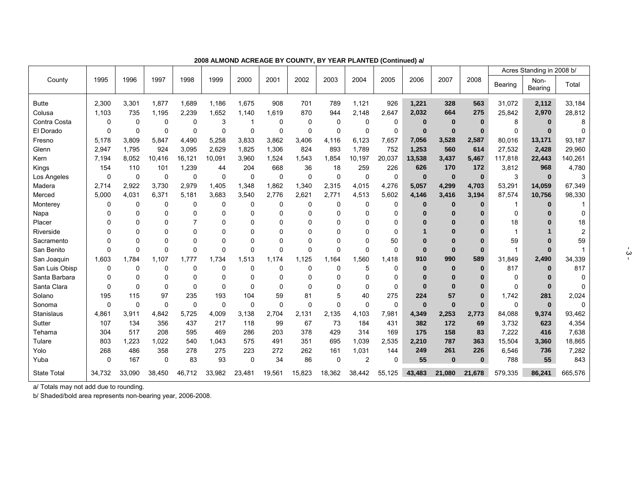|                    |          |          |             |             |        |             |             |             |          |                |          |             |          |          |              | Acres Standing in 2008 b/ |          |
|--------------------|----------|----------|-------------|-------------|--------|-------------|-------------|-------------|----------|----------------|----------|-------------|----------|----------|--------------|---------------------------|----------|
| County             | 1995     | 1996     | 1997        | 1998        | 1999   | 2000        | 2001        | 2002        | 2003     | 2004           | 2005     | 2006        | 2007     | 2008     | Bearing      | Non-<br>Bearing           | Total    |
| <b>Butte</b>       | 2,300    | 3,301    | 1,877       | 1,689       | 1,186  | 1,675       | 908         | 701         | 789      | 1,121          | 926      | 1,221       | 328      | 563      | 31,072       | 2,112                     | 33,184   |
| Colusa             | 1,103    | 735      | 1.195       | 2,239       | 1,652  | 1,140       | 1,619       | 870         | 944      | 2.148          | 2.647    | 2,032       | 664      | 275      | 25,842       | 2,970                     | 28,812   |
| Contra Costa       | 0        | 0        | 0           | 0           | 3      |             | $\Omega$    | $\Omega$    | 0        | $\Omega$       | 0        | $\bf{0}$    | $\bf{0}$ | $\bf{0}$ | 8            | $\bf{0}$                  | 8        |
| El Dorado          | $\Omega$ | 0        | 0           | 0           | 0      | $\Omega$    | $\Omega$    | $\Omega$    | $\Omega$ | $\Omega$       | 0        | $\bf{0}$    | $\bf{0}$ | $\bf{0}$ | $\Omega$     | $\Omega$                  |          |
| Fresno             | 5,178    | 3,809    | 5,847       | 4,490       | 5,258  | 3,833       | 3,862       | 3,406       | 4,116    | 6,123          | 7,657    | 7,056       | 3,528    | 2,587    | 80.016       | 13,171                    | 93,187   |
| Glenn              | 2,947    | 1,795    | 924         | 3,095       | 2,629  | 1,825       | 1,306       | 824         | 893      | 1,789          | 752      | 1,253       | 560      | 614      | 27,532       | 2,428                     | 29,960   |
| Kern               | 7,194    | 8,052    | 10,416      | 16,121      | 10,091 | 3,960       | 1,524       | 1,543       | 1,854    | 10,197         | 20,037   | 13,538      | 3,437    | 5,467    | 117,818      | 22,443                    | 140,261  |
| Kings              | 154      | 110      | 101         | 1,239       | 44     | 204         | 668         | 36          | 18       | 259            | 226      | 626         | 170      | 172      | 3,812        | 968                       | 4,780    |
| Los Angeles        | 0        | 0        | $\mathbf 0$ | $\mathbf 0$ | 0      | $\mathbf 0$ | $\mathbf 0$ | $\mathbf 0$ | 0        | $\Omega$       | 0        | $\bf{0}$    | $\bf{0}$ | $\bf{0}$ | 3            | $\bf{0}$                  | 3        |
| Madera             | 2.714    | 2,922    | 3,730       | 2,979       | 1,405  | 1,348       | 1,862       | 1,340       | 2,315    | 4,015          | 4,276    | 5,057       | 4,299    | 4,703    | 53,291       | 14,059                    | 67,349   |
| Merced             | 5,000    | 4,031    | 6,371       | 5,181       | 3,683  | 3,540       | 2,776       | 2,621       | 2,771    | 4,513          | 5,602    | 4,146       | 3,416    | 3,194    | 87,574       | 10,756                    | 98,330   |
| Monterey           | 0        | 0        | 0           | $\mathbf 0$ | 0      | $\Omega$    | $\mathbf 0$ | 0           | 0        | $\Omega$       | 0        | $\bf{0}$    | $\bf{0}$ | $\bf{0}$ |              | $\bf{0}$                  |          |
| Napa               | 0        | $\Omega$ | 0           | 0           | 0      | 0           | 0           | 0           | 0        | $\Omega$       | 0        | $\bf{0}$    | $\bf{0}$ | 0        | $\Omega$     |                           | 0        |
| Placer             | 0        | 0        | $\Omega$    | 7           | 0      | 0           | $\Omega$    | 0           | O        | $\Omega$       | 0        | $\Omega$    | $\bf{0}$ | $\bf{0}$ | 18           |                           | 18       |
| Riverside          | ŋ        | 0        | 0           | $\Omega$    | 0      | O           | $\Omega$    | O           | ∩        | $\Omega$       | $\Omega$ |             | $\bf{0}$ | $\bf{0}$ |              |                           | 2        |
| Sacramento         | ŋ        | $\Omega$ | $\Omega$    | $\mathbf 0$ | 0      | O           | $\Omega$    | 0           | $\Omega$ | $\Omega$       | 50       | $\Omega$    | $\bf{0}$ | $\bf{0}$ | 59           |                           | 59       |
| San Benito         | $\Omega$ | $\Omega$ | $\Omega$    | 0           | 0      | $\Omega$    | $\Omega$    | $\Omega$    | $\Omega$ | $\Omega$       | $\Omega$ | $\Omega$    | $\bf{0}$ | $\bf{0}$ | $\mathbf{1}$ | $\Omega$                  |          |
| San Joaquin        | 1,603    | 1.784    | 1,107       | 1.777       | 1,734  | 1,513       | 1,174       | 1,125       | 1.164    | 1,560          | 1,418    | 910         | 990      | 589      | 31,849       | 2,490                     | 34,339   |
| San Luis Obisp     | 0        | 0        | 0           | 0           | 0      | $\Omega$    | $\Omega$    | 0           | 0        | 5              | 0        | $\mathbf 0$ | $\bf{0}$ | $\bf{0}$ | 817          | $\bf{0}$                  | 817      |
| Santa Barbara      | $\Omega$ | 0        | 0           | 0           | 0      | $\Omega$    | $\Omega$    | 0           | O        | $\Omega$       | 0        | $\bf{0}$    | $\bf{0}$ | $\bf{0}$ | 0            |                           | $\Omega$ |
| Santa Clara        | $\Omega$ | $\Omega$ | 0           | $\Omega$    | 0      | $\Omega$    | $\Omega$    | $\Omega$    | O        | 0              | $\Omega$ | $\bf{0}$    | $\bf{0}$ | $\bf{0}$ | 0            | 0                         | $\Omega$ |
| Solano             | 195      | 115      | 97          | 235         | 193    | 104         | 59          | 81          | 5        | 40             | 275      | 224         | 57       | $\bf{0}$ | 1,742        | 281                       | 2,024    |
| Sonoma             | $\Omega$ | 0        | $\Omega$    | $\Omega$    | 0      | $\Omega$    | $\Omega$    | $\Omega$    | $\Omega$ | 0              | 0        | $\bf{0}$    | $\bf{0}$ | $\bf{0}$ | $\Omega$     | $\bf{0}$                  | $\Omega$ |
| Stanislaus         | 4,861    | 3,911    | 4,842       | 5,725       | 4,009  | 3,138       | 2,704       | 2,131       | 2,135    | 4,103          | 7,981    | 4,349       | 2,253    | 2,773    | 84,088       | 9,374                     | 93,462   |
| Sutter             | 107      | 134      | 356         | 437         | 217    | 118         | 99          | 67          | 73       | 184            | 431      | 382         | 172      | 69       | 3,732        | 623                       | 4,354    |
| Tehama             | 304      | 517      | 208         | 595         | 469    | 286         | 203         | 378         | 429      | 314            | 169      | 175         | 158      | 83       | 7,222        | 416                       | 7,638    |
| Tulare             | 803      | 1,223    | 1,022       | 540         | 1,043  | 575         | 491         | 351         | 695      | 1,039          | 2,535    | 2,210       | 787      | 363      | 15,504       | 3,360                     | 18,865   |
| Yolo               | 268      | 486      | 358         | 278         | 275    | 223         | 272         | 262         | 161      | 1,031          | 144      | 249         | 261      | 226      | 6,546        | 736                       | 7,282    |
| Yuba               | 0        | 167      | 0           | 83          | 93     | 0           | 34          | 86          | 0        | $\overline{2}$ | 0        | 55          | $\bf{0}$ | $\bf{0}$ | 788          | 55                        | 843      |
| <b>State Total</b> | 34,732   | 33,090   | 38,450      | 46,712      | 33,982 | 23,481      | 19,561      | 15,823      | 18,362   | 38,442         | 55,125   | 43,483      | 21,080   | 21,678   | 579,335      | 86,241                    | 665,576  |

**2008 ALMOND ACREAGE BY COUNTY, BY YEAR PLANTED (Continued) a/**

a/ Totals may not add due to rounding.

b/ Shaded/bold area represents non-bearing year, 2006-2008.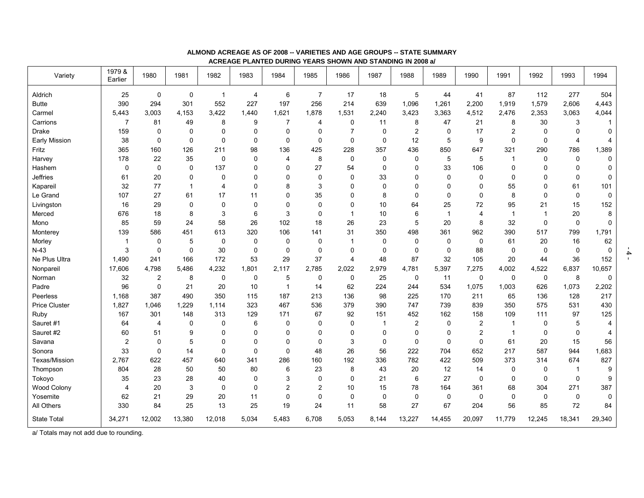| Variety              | 1979 &<br>Earlier | 1980                    | 1981        | 1982           | 1983           | 1984           | 1985           | 1986           | 1987        | 1988           | 1989        | 1990           | 1991           | 1992         | 1993           | 1994        |
|----------------------|-------------------|-------------------------|-------------|----------------|----------------|----------------|----------------|----------------|-------------|----------------|-------------|----------------|----------------|--------------|----------------|-------------|
| Aldrich              | 25                | $\mathsf 0$             | $\pmb{0}$   | $\overline{1}$ | $\overline{4}$ | 6              | $\overline{7}$ | 17             | 18          | $\mathbf 5$    | 44          | 41             | 87             | 112          | 277            | 504         |
| <b>Butte</b>         | 390               | 294                     | 301         | 552            | 227            | 197            | 256            | 214            | 639         | 1,096          | 1,261       | 2,200          | 1,919          | 1,579        | 2,606          | 4,443       |
| Carmel               | 5,443             | 3,003                   | 4,153       | 3,422          | 1,440          | 1,621          | 1,878          | 1,531          | 2,240       | 3,423          | 3,363       | 4,512          | 2,476          | 2,353        | 3,063          | 4,044       |
| Carrions             | $\overline{7}$    | 81                      | 49          | 8              | 9              | 7              | $\overline{4}$ | 0              | 11          | 8              | 47          | 21             | 8              | 30           | 3              | $\mathbf 1$ |
| <b>Drake</b>         | 159               | 0                       | 0           | 0              | 0              | 0              | 0              | $\overline{7}$ | $\mathbf 0$ | $\overline{2}$ | $\mathbf 0$ | 17             | 2              | $\mathbf 0$  | $\mathbf 0$    | $\mathbf 0$ |
| Early Mission        | 38                | 0                       | $\mathbf 0$ | $\mathbf 0$    | 0              | 0              | $\mathbf 0$    | 0              | $\mathbf 0$ | 12             | 5           | 9              | 0              | $\mathbf 0$  | $\overline{4}$ | 4           |
| Fritz                | 365               | 160                     | 126         | 211            | 98             | 136            | 425            | 228            | 357         | 436            | 850         | 647            | 321            | 290          | 786            | 1,389       |
| Harvey               | 178               | 22                      | 35          | $\mathbf 0$    | $\Omega$       | 4              | 8              | $\mathbf 0$    | $\Omega$    | $\Omega$       | 5           | 5              | 1              | $\Omega$     | $\mathbf{0}$   | $\mathbf 0$ |
| Hashem               | $\mathbf 0$       | $\mathbf 0$             | $\mathsf 0$ | 137            | 0              | $\mathbf 0$    | 27             | 54             | $\Omega$    | $\Omega$       | 33          | 106            | 0              | $\Omega$     | 0              | $\mathbf 0$ |
| Jeffries             | 61                | 20                      | 0           | $\mathbf 0$    | 0              | $\mathbf{0}$   | $\mathbf 0$    | 0              | 33          | $\mathbf 0$    | 0           | $\mathbf 0$    | 0              | $\Omega$     | $\mathbf 0$    | 0           |
| Kapareil             | 32                | 77                      | 1           | $\overline{4}$ | 0              | 8              | 3              | 0              | $\Omega$    | $\Omega$       | $\mathbf 0$ | $\mathbf 0$    | 55             | $\Omega$     | 61             | 101         |
| Le Grand             | 107               | 27                      | 61          | 17             | 11             | $\mathbf{0}$   | 35             | 0              | 8           | $\Omega$       | $\mathbf 0$ | $\mathbf 0$    | 8              | $\Omega$     | $\mathbf 0$    | 0           |
| Livingston           | 16                | 29                      | $\mathbf 0$ | $\mathbf 0$    | $\Omega$       | $\Omega$       | $\Omega$       | $\mathbf 0$    | 10          | 64             | 25          | 72             | 95             | 21           | 15             | 152         |
| Merced               | 676               | 18                      | 8           | 3              | 6              | 3              | $\mathbf 0$    | $\mathbf{1}$   | 10          | 6              | $\mathbf 1$ | $\overline{4}$ | $\overline{1}$ | $\mathbf{1}$ | 20             | 8           |
| Mono                 | 85                | 59                      | 24          | 58             | 26             | 102            | 18             | 26             | 23          | 5              | 20          | 8              | 32             | $\mathbf 0$  | $\mathbf 0$    | 0           |
| Monterey             | 139               | 586                     | 451         | 613            | 320            | 106            | 141            | 31             | 350         | 498            | 361         | 962            | 390            | 517          | 799            | 1,791       |
| Morley               | -1                | 0                       | 5           | $\mathbf 0$    | 0              | 0              | 0              | 1              | 0           | 0              | 0           | 0              | 61             | 20           | 16             | 62          |
| $N-43$               | 3                 | $\mathbf 0$             | $\mathbf 0$ | 30             | $\mathbf 0$    | $\mathbf 0$    | $\mathbf 0$    | 0              | $\mathbf 0$ | $\mathbf 0$    | $\mathbf 0$ | 88             | $\mathbf 0$    | $\mathbf 0$  | $\mathbf 0$    | $\mathbf 0$ |
| Ne Plus Ultra        | 1,490             | 241                     | 166         | 172            | 53             | 29             | 37             | 4              | 48          | 87             | 32          | 105            | 20             | 44           | 36             | 152         |
| Nonpareil            | 17,606            | 4,798                   | 5,486       | 4,232          | 1,801          | 2,117          | 2,785          | 2,022          | 2,979       | 4,781          | 5,397       | 7,275          | 4,002          | 4,522        | 6,837          | 10,657      |
| Norman               | 32                | $\overline{\mathbf{c}}$ | 8           | $\mathbf 0$    | 0              | 5              | 0              | 0              | 25          | 0              | 11          | 0              | 0              | 0            | 8              | 0           |
| Padre                | 96                | 0                       | 21          | 20             | 10             | $\mathbf 1$    | 14             | 62             | 224         | 244            | 534         | 1,075          | 1,003          | 626          | 1,073          | 2,202       |
| Peerless             | 1,168             | 387                     | 490         | 350            | 115            | 187            | 213            | 136            | 98          | 225            | 170         | 211            | 65             | 136          | 128            | 217         |
| <b>Price Cluster</b> | 1,827             | 1,046                   | 1,229       | 1,114          | 323            | 467            | 536            | 379            | 390         | 747            | 739         | 839            | 350            | 575          | 531            | 430         |
| Ruby                 | 167               | 301                     | 148         | 313            | 129            | 171            | 67             | 92             | 151         | 452            | 162         | 158            | 109            | 111          | 97             | 125         |
| Sauret #1            | 64                | 4                       | 0           | $\mathbf 0$    | 6              | $\mathbf 0$    | $\mathbf 0$    | 0              | -1          | $\overline{2}$ | 0           | $\overline{2}$ | -1             | 0            | 5              | 4           |
| Sauret #2            | 60                | 51                      | 9           | 0              | 0              | $\mathbf{0}$   | 0              | 0              | $\Omega$    | 0              | 0           | 2              | -1             | 0            | 0              | 4           |
| Savana               | $\overline{c}$    | 0                       | 5           | $\mathbf 0$    | 0              | $\Omega$       | $\mathbf 0$    | 3              | $\mathbf 0$ | $\mathbf 0$    | $\mathbf 0$ | $\mathbf 0$    | 61             | 20           | 15             | 56          |
| Sonora               | 33                | 0                       | 14          | $\mathbf 0$    | 0              | $\Omega$       | 48             | 26             | 56          | 222            | 704         | 652            | 217            | 587          | 944            | 1,683       |
| Texas/Mission        | 2,767             | 622                     | 457         | 640            | 341            | 286            | 160            | 192            | 336         | 782            | 422         | 509            | 373            | 314          | 674            | 827         |
| Thompson             | 804               | 28                      | 50          | 50             | 80             | 6              | 23             | 8              | 43          | 20             | 12          | 14             | 0              | 0            | $\mathbf{1}$   | 9           |
| Tokoyo               | 35                | 23                      | 28          | 40             | 0              | 3              | 0              | 0              | 21          | 6              | 27          | 0              | 0              | $\mathbf 0$  | 0              | 9           |
| Wood Colony          | 4                 | 20                      | 3           | $\mathbf 0$    | 0              | $\overline{2}$ | $\overline{2}$ | 10             | 15          | 78             | 164         | 361            | 68             | 304          | 271            | 387         |
| Yosemite             | 62                | 21                      | 29          | 20             | 11             | 0              | $\mathbf 0$    | 0              | $\Omega$    | $\mathbf 0$    | $\mathbf 0$ | $\Omega$       | $\mathbf 0$    | $\mathbf 0$  | 0              | $\mathbf 0$ |
| All Others           | 330               | 84                      | 25          | 13             | 25             | 19             | 24             | 11             | 58          | 27             | 67          | 204            | 56             | 85           | 72             | 84          |
| <b>State Total</b>   | 34,271            | 12,002                  | 13,380      | 12,018         | 5,034          | 5,483          | 6,708          | 5,053          | 8,144       | 13,227         | 14,455      | 20,097         | 11,779         | 12,245       | 18,341         | 29,340      |

### **ALMOND ACREAGE AS OF 2008 -- VARIETIES AND AGE GROUPS -- STATE SUMMARY ACREAGE PLANTED DURING YEARS SHOWN AND STANDING IN 2008 a/**

a/ Totals may not add due to rounding.

- 4 -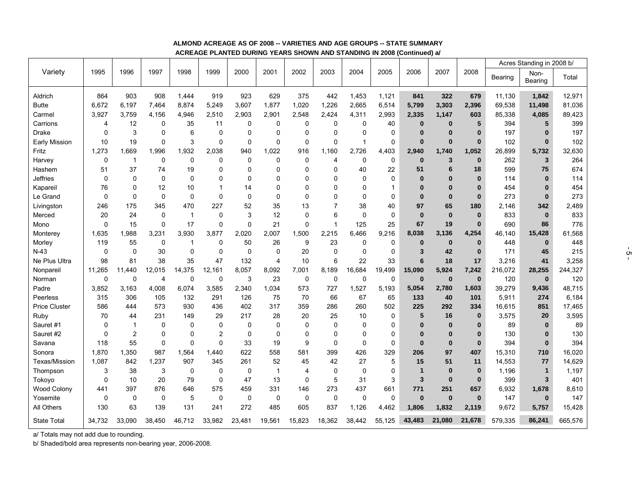## **ALMOND ACREAGE AS OF 2008 -- VARIETIES AND AGE GROUPS -- STATE SUMMARY ACREAGE PLANTED DURING YEARS SHOWN AND STANDING IN 2008 (Continued) a/**

|                         |             |                |             |             |                |             |             |                |                |              |              |              |          |             | Acres Standing in 2008 b/ |                 |         |  |  |  |  |
|-------------------------|-------------|----------------|-------------|-------------|----------------|-------------|-------------|----------------|----------------|--------------|--------------|--------------|----------|-------------|---------------------------|-----------------|---------|--|--|--|--|
| Variety                 | 1995        | 1996           | 1997        | 1998        | 1999           | 2000        | 2001        | 2002           | 2003           | 2004         | 2005         | 2006         | 2007     | 2008        | Bearing                   | Non-<br>Bearing | Total   |  |  |  |  |
|                         | 864         | 903            | 908         | 1,444       | 919            | 923         | 629         | 375            | 442            | 1,453        | 1,121        | 841          | 322      | 679         | 11,130                    |                 | 12,971  |  |  |  |  |
| Aldrich<br><b>Butte</b> | 6,672       | 6,197          | 7,464       | 8,874       | 5,249          | 3,607       | 1,877       | 1,020          | 1,226          | 2,665        | 6,514        | 5,799        | 3,303    | 2,396       | 69,538                    | 1,842<br>11,498 | 81,036  |  |  |  |  |
| Carmel                  | 3,927       | 3.759          | 4.156       | 4,946       | 2,510          | 2,903       | 2,901       | 2,548          | 2,424          | 4,311        | 2,993        | 2,335        | 1,147    | 603         | 85,338                    | 4,085           | 89,423  |  |  |  |  |
| Carrions                | 4           | 12             | 0           | 35          | 11             | 0           | 0           | 0              | 0              | $\mathbf 0$  | 40           | $\bf{0}$     | $\bf{0}$ | 5           | 394                       | 5               | 399     |  |  |  |  |
| <b>Drake</b>            | 0           | 3              | 0           | 6           | $\mathbf 0$    | 0           | 0           | 0              | 0              | 0            | 0            | $\bf{0}$     | $\bf{0}$ | $\bf{0}$    | 197                       | $\bf{0}$        | 197     |  |  |  |  |
|                         | 10          | 19             | 0           | 3           | $\mathbf 0$    | 0           | 0           | $\mathbf 0$    | 0              | $\mathbf{1}$ | $\mathsf 0$  | $\bf{0}$     | $\bf{0}$ | $\bf{0}$    | 102                       | $\bf{0}$        | 102     |  |  |  |  |
| Early Mission<br>Fritz  | 1,273       | 1,669          | 1,996       | 1,932       | 2,038          | 940         | 1,022       | 916            | 1,160          | 2,726        | 4,403        | 2,940        | 1,740    | 1,052       | 26,899                    | 5,732           | 32,630  |  |  |  |  |
| Harvey                  | $\mathsf 0$ | $\overline{1}$ | $\mathbf 0$ | $\mathbf 0$ | $\mathbf 0$    | $\mathbf 0$ | 0           | $\mathbf 0$    | $\overline{4}$ | 0            | $\mathsf 0$  | $\bf{0}$     | 3        | $\bf{0}$    | 262                       | 3               | 264     |  |  |  |  |
| Hashem                  | 51          | 37             | 74          | 19          | $\Omega$       | $\Omega$    | $\Omega$    | $\Omega$       | 0              | 40           | 22           | 51           | 6        | 18          | 599                       | 75              | 674     |  |  |  |  |
| <b>Jeffries</b>         | 0           | $\mathbf 0$    | 0           | $\Omega$    | $\Omega$       | $\Omega$    | ŋ           | $\Omega$       | 0              | 0            | 0            | $\bf{0}$     | $\bf{0}$ | $\bf{0}$    | 114                       | $\bf{0}$        | 114     |  |  |  |  |
| Kapareil                | 76          | $\Omega$       | 12          | 10          | $\overline{1}$ | 14          | $\Omega$    | $\Omega$       | 0              | $\Omega$     | $\mathbf{1}$ | $\bf{0}$     | $\bf{0}$ | $\bf{0}$    | 454                       | $\Omega$        | 454     |  |  |  |  |
| Le Grand                | 0           | $\mathbf 0$    | 0           | $\mathbf 0$ | $\mathbf 0$    | $\mathbf 0$ | 0           | $\Omega$       | 0              | $\Omega$     | 0            | $\bf{0}$     | $\bf{0}$ | $\bf{0}$    | 273                       | $\bf{0}$        | 273     |  |  |  |  |
| Livingston              | 246         | 175            | 345         | 470         | 227            | 52          | 35          | 13             | $\overline{7}$ | 38           | 40           | 97           | 65       | 180         | 2,146                     | 342             | 2,489   |  |  |  |  |
| Merced                  | 20          | 24             | 0           | $\mathbf 1$ | $\mathbf 0$    | 3           | 12          | $\Omega$       | 6              | $\Omega$     | $\mathbf 0$  | $\bf{0}$     | $\bf{0}$ | $\bf{0}$    | 833                       | $\bf{0}$        | 833     |  |  |  |  |
| Mono                    | $\mathbf 0$ | 15             | 0           | 17          | $\mathbf 0$    | 0           | 21          | $\mathbf 0$    | 1              | 125          | 25           | 67           | 19       | $\bf{0}$    | 690                       | 86              | 776     |  |  |  |  |
| Monterey                | 1,635       | 1,988          | 3,231       | 3,930       | 3,877          | 2,020       | 2,007       | 1,500          | 2,215          | 6,466        | 9,216        | 8,038        | 3,136    | 4,254       | 46,140                    | 15,428          | 61,568  |  |  |  |  |
| Morley                  | 119         | 55             | 0           | -1          | $\mathbf 0$    | 50          | 26          | 9              | 23             | $\mathbf 0$  | 0            | $\bf{0}$     | $\bf{0}$ | $\bf{0}$    | 448                       | $\bf{0}$        | 448     |  |  |  |  |
| $N-43$                  | $\mathbf 0$ | $\mathbf 0$    | 30          | $\mathbf 0$ | $\mathbf 0$    | $\mathbf 0$ | 0           | 20             | 0              | $\mathbf 0$  | $\pmb{0}$    | 3            | 42       | $\bf{0}$    | 171                       | 45              | 215     |  |  |  |  |
| Ne Plus Ultra           | 98          | 81             | 38          | 35          | 47             | 132         | 4           | 10             | 6              | 22           | 33           | 6            | 18       | 17          | 3,216                     | 41              | 3,258   |  |  |  |  |
| Nonpareil               | 11,265      | 11.440         | 12,015      | 14,375      | 12,161         | 8,057       | 8,092       | 7,001          | 8,189          | 16,684       | 19,499       | 15,090       | 5,924    | 7,242       | 216,072                   | 28,255          | 244,327 |  |  |  |  |
| Norman                  | $\mathbf 0$ | $\mathbf 0$    | 4           | $\mathbf 0$ | $\mathbf 0$    | 3           | 23          | $\mathbf 0$    | 0              | $\mathbf 0$  | $\pmb{0}$    | $\bf{0}$     | $\bf{0}$ | $\mathbf 0$ | 120                       | $\bf{0}$        | 120     |  |  |  |  |
| Padre                   | 3.852       | 3.163          | 4.008       | 6.074       | 3.585          | 2,340       | 1,034       | 573            | 727            | 1,527        | 5,193        | 5,054        | 2,780    | 1,603       | 39,279                    | 9,436           | 48,715  |  |  |  |  |
| Peerless                | 315         | 306            | 105         | 132         | 291            | 126         | 75          | 70             | 66             | 67           | 65           | 133          | 40       | 101         | 5,911                     | 274             | 6,184   |  |  |  |  |
| <b>Price Cluster</b>    | 586         | 444            | 573         | 930         | 436            | 402         | 317         | 359            | 286            | 260          | 502          | 225          | 292      | 334         | 16,615                    | 851             | 17,465  |  |  |  |  |
| Ruby                    | 70          | 44             | 231         | 149         | 29             | 217         | 28          | 20             | 25             | 10           | 0            | 5            | 16       | $\bf{0}$    | 3,575                     | 20              | 3,595   |  |  |  |  |
| Sauret #1               | 0           | $\overline{1}$ | $\mathbf 0$ | $\Omega$    | $\mathbf 0$    | $\Omega$    | $\Omega$    | $\Omega$       | 0              | 0            | $\pmb{0}$    | $\bf{0}$     | $\bf{0}$ | $\bf{0}$    | 89                        | $\bf{0}$        | 89      |  |  |  |  |
| Sauret #2               | $\Omega$    | $\overline{2}$ | 0           | $\Omega$    | $\overline{2}$ | 0           | 0           | $\Omega$       | 0              | 0            | 0            | 0            | $\bf{0}$ | $\bf{0}$    | 130                       | $\bf{0}$        | 130     |  |  |  |  |
| Savana                  | 118         | 55             | 0           | $\Omega$    | $\mathbf 0$    | 33          | 19          | 9              | 0              | $\mathbf 0$  | $\pmb{0}$    | 0            | $\bf{0}$ | $\bf{0}$    | 394                       | $\bf{0}$        | 394     |  |  |  |  |
| Sonora                  | 1,870       | 1,350          | 987         | 1,564       | 1.440          | 622         | 558         | 581            | 399            | 426          | 329          | 206          | 97       | 407         | 15,310                    | 710             | 16,020  |  |  |  |  |
| Texas/Mission           | 1,087       | 842            | 1,237       | 907         | 345            | 261         | 52          | 45             | 42             | 27           | 5            | 15           | 51       | 11          | 14,553                    | 77              | 14,629  |  |  |  |  |
| Thompson                | 3           | 38             | 3           | $\mathbf 0$ | 0              | 0           | $\mathbf 1$ | $\overline{4}$ | 0              | $\mathbf 0$  | $\mathbf 0$  | $\mathbf{1}$ | $\bf{0}$ | $\bf{0}$    | 1,196                     | $\mathbf{1}$    | 1,197   |  |  |  |  |
| Tokoyo                  | 0           | 10             | 20          | 79          | $\mathbf 0$    | 47          | 13          | $\mathbf 0$    | 5              | 31           | $\mathsf 3$  | $\mathbf{3}$ | $\bf{0}$ | $\bf{0}$    | 399                       | $\overline{3}$  | 401     |  |  |  |  |
| <b>Wood Colony</b>      | 441         | 397            | 876         | 646         | 575            | 459         | 331         | 146            | 273            | 437          | 661          | 771          | 251      | 657         | 6,932                     | 1,678           | 8,610   |  |  |  |  |
| Yosemite                | 0           | 0              | 0           | 5           | $\mathbf 0$    | 0           | 0           | 0              | 0              | 0            | 0            | $\bf{0}$     | $\bf{0}$ | $\bf{0}$    | 147                       | $\bf{0}$        | 147     |  |  |  |  |
| All Others              | 130         | 63             | 139         | 131         | 241            | 272         | 485         | 605            | 837            | 1,126        | 4,462        | 1,806        | 1.832    | 2,119       | 9,672                     | 5,757           | 15,428  |  |  |  |  |
| <b>State Total</b>      | 34,732      | 33.090         | 38,450      | 46,712      | 33,982         | 23,481      | 19,561      | 15,823         | 18,362         | 38,442       | 55,125       | 43,483       | 21.080   | 21,678      | 579,335                   | 86,241          | 665,576 |  |  |  |  |

a/ Totals may not add due to rounding.

b/ Shaded/bold area represents non-bearing year, 2006-2008.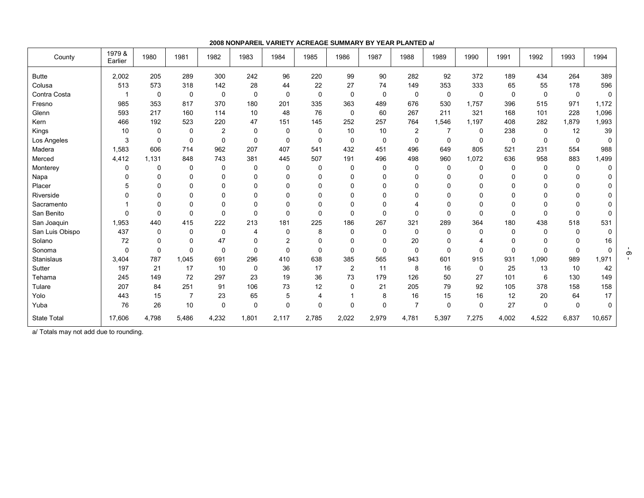**2008 NONPAREIL VARIETY ACREAGE SUMMARY BY YEAR PLANTED a/**

| County             | 1979 &<br>Earlier | 1980        | 1981           | 1982           | 1983        | 1984           | 1985           | 1986           | 1987         | 1988           | 1989     | 1990        | 1991        | 1992        | 1993        | 1994        |
|--------------------|-------------------|-------------|----------------|----------------|-------------|----------------|----------------|----------------|--------------|----------------|----------|-------------|-------------|-------------|-------------|-------------|
| <b>Butte</b>       | 2,002             | 205         | 289            | 300            | 242         | 96             | 220            | 99             | 90           | 282            | 92       | 372         | 189         | 434         | 264         | 389         |
| Colusa             | 513               | 573         | 318            | 142            | 28          | 44             | 22             | 27             | 74           | 149            | 353      | 333         | 65          | 55          | 178         | 596         |
| Contra Costa       |                   | $\pmb{0}$   | $\pmb{0}$      | 0              | 0           | $\mathbf 0$    | $\mathbf 0$    | 0              | $\mathbf 0$  | 0              | 0        | $\mathbf 0$ | $\mathbf 0$ | $\mathbf 0$ | $\mathbf 0$ | $\mathbf 0$ |
| Fresno             | 985               | 353         | 817            | 370            | 180         | 201            | 335            | 363            | 489          | 676            | 530      | 1,757       | 396         | 515         | 971         | 1,172       |
| Glenn              | 593               | 217         | 160            | 114            | 10          | 48             | 76             | 0              | 60           | 267            | 211      | 321         | 168         | 101         | 228         | 1,096       |
| Kern               | 466               | 192         | 523            | 220            | 47          | 151            | 145            | 252            | 257          | 764            | 1,546    | 1,197       | 408         | 282         | 1,879       | 1,993       |
| Kings              | 10                | 0           | 0              | $\overline{c}$ | $\mathbf 0$ | $\mathbf 0$    | 0              | 10             | 10           | $\overline{2}$ | 7        | $\Omega$    | 238         | 0           | 12          | 39          |
| Los Angeles        | 3                 | 0           | 0              | 0              | $\mathbf 0$ | $\mathbf 0$    | $\mathbf 0$    | 0              | 0            | $\mathbf 0$    | 0        | 0           | 0           | $\Omega$    | $\mathbf 0$ | 0           |
| Madera             | 1,583             | 606         | 714            | 962            | 207         | 407            | 541            | 432            | 451          | 496            | 649      | 805         | 521         | 231         | 554         | 988         |
| Merced             | 4,412             | 1,131       | 848            | 743            | 381         | 445            | 507            | 191            | 496          | 498            | 960      | 1,072       | 636         | 958         | 883         | 1,499       |
| Monterey           | 0                 | 0           | $\mathbf 0$    | 0              | 0           | $\mathbf 0$    | $\Omega$       | $\Omega$       | $\mathbf{0}$ | 0              | 0        | $\Omega$    | 0           | 0           | 0           | 0           |
| Napa               | 0                 | 0           | 0              | $\Omega$       | 0           | $\mathbf 0$    | $\Omega$       | $\Omega$       | $\Omega$     | 0              | 0        | $\Omega$    | $\mathbf 0$ | 0           | 0           | 0           |
| Placer             | 5                 | 0           | 0              | 0              | 0           | $\Omega$       | $\Omega$       | $\Omega$       | $\Omega$     | $\Omega$       | 0        | $\Omega$    | $\Omega$    | 0           | $\Omega$    | 0           |
| Riverside          | $\Omega$          | $\mathbf 0$ | $\Omega$       | $\Omega$       | 0           | $\Omega$       | $\Omega$       | $\Omega$       | $\Omega$     | $\Omega$       | 0        | $\Omega$    | $\Omega$    | $\Omega$    | $\Omega$    | 0           |
| Sacramento         |                   | 0           | 0              | 0              | 0           | $\mathbf 0$    | $\Omega$       | $\Omega$       | $\Omega$     |                | U        | $\Omega$    | $\Omega$    | 0           | $\Omega$    | 0           |
| San Benito         | $\mathbf 0$       | 0           | 0              | $\Omega$       | $\Omega$    | $\mathbf 0$    | $\Omega$       | $\Omega$       | $\Omega$     | $\Omega$       | $\Omega$ | $\Omega$    | $\Omega$    | $\Omega$    | $\Omega$    | 0           |
| San Joaquin        | 1,953             | 440         | 415            | 222            | 213         | 181            | 225            | 186            | 267          | 321            | 289      | 364         | 180         | 438         | 518         | 531         |
| San Luis Obispo    | 437               | 0           | $\mathbf 0$    | $\Omega$       | 4           | $\Omega$       | 8              | $\Omega$       | $\mathbf{0}$ | $\Omega$       | 0        | $\Omega$    | $\Omega$    | $\Omega$    | $\Omega$    | 0           |
| Solano             | 72                | 0           | 0              | 47             | $\Omega$    | $\overline{2}$ | $\Omega$       | $\mathbf 0$    | $\Omega$     | 20             | 0        |             | $\mathbf 0$ | 0           | $\Omega$    | $16\,$      |
| Sonoma             | 0                 | $\mathbf 0$ | $\Omega$       | $\Omega$       | $\Omega$    | $\Omega$       | $\Omega$       | $\Omega$       | $\Omega$     | $\Omega$       | $\Omega$ | $\Omega$    | $\Omega$    | $\Omega$    | $\Omega$    | $\mathbf 0$ |
| Stanislaus         | 3,404             | 787         | 1,045          | 691            | 296         | 410            | 638            | 385            | 565          | 943            | 601      | 915         | 931         | 1,090       | 989         | 1,971       |
| Sutter             | 197               | 21          | 17             | 10             | 0           | 36             | 17             | $\overline{2}$ | 11           | 8              | 16       | $\Omega$    | 25          | 13          | 10          | 42          |
| Tehama             | 245               | 149         | 72             | 297            | 23          | 19             | 36             | 73             | 179          | 126            | 50       | 27          | 101         | 6           | 130         | 149         |
| Tulare             | 207               | 84          | 251            | 91             | 106         | 73             | 12             | $\Omega$       | 21           | 205            | 79       | 92          | 105         | 378         | 158         | 158         |
| Yolo               | 443               | 15          | $\overline{7}$ | 23             | 65          | 5              | $\overline{4}$ |                | 8            | 16             | 15       | 16          | 12          | 20          | 64          | 17          |
| Yuba               | 76                | 26          | 10             | $\Omega$       | $\Omega$    | $\Omega$       | $\Omega$       | $\Omega$       | $\Omega$     | $\overline{7}$ | $\Omega$ | $\Omega$    | 27          | $\Omega$    | $\Omega$    | $\mathbf 0$ |
| <b>State Total</b> | 17,606            | 4,798       | 5,486          | 4,232          | 1,801       | 2,117          | 2,785          | 2,022          | 2,979        | 4,781          | 5,397    | 7,275       | 4,002       | 4,522       | 6,837       | 10,657      |

a/ Totals may not add due to rounding.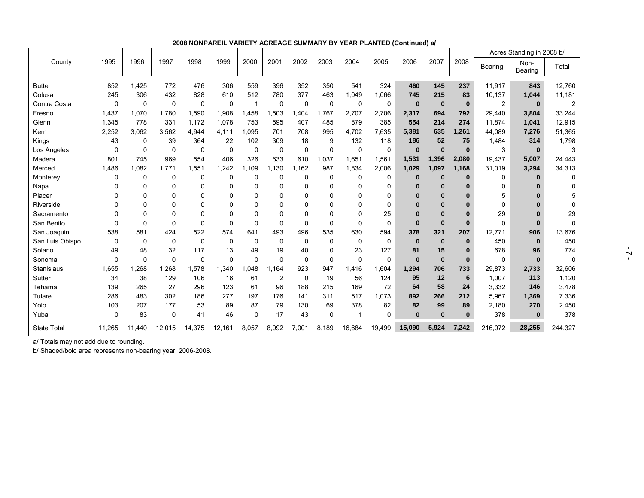|                 |          |          |          |          |              |              |                |          |          |              |             |              |          |              | Acres Standing in 2008 b/ |                 |              |
|-----------------|----------|----------|----------|----------|--------------|--------------|----------------|----------|----------|--------------|-------------|--------------|----------|--------------|---------------------------|-----------------|--------------|
| County          | 1995     | 1996     | 1997     | 1998     | 1999         | 2000         | 2001           | 2002     | 2003     | 2004         | 2005        | 2006         | 2007     | 2008         | Bearing                   | Non-<br>Bearing | Total        |
| <b>Butte</b>    | 852      | 1,425    | 772      | 476      | 306          | 559          | 396            | 352      | 350      | 541          | 324         | 460          | 145      | 237          | 11,917                    | 843             | 12,760       |
| Colusa          | 245      | 306      | 432      | 828      | 610          | 512          | 780            | 377      | 463      | 1,049        | 1,066       | 745          | 215      | 83           | 10,137                    | 1,044           | 11,181       |
| Contra Costa    | 0        | 0        | 0        | 0        | 0            |              | 0              | 0        | 0        | $\mathbf{0}$ | 0           | $\bf{0}$     | $\bf{0}$ | $\bf{0}$     | 2                         | $\mathbf{0}$    |              |
| Fresno          | 1,437    | 1,070    | 1,780    | 1,590    | 1,908        | 1,458        | 1,503          | 1,404    | 1,767    | 2,707        | 2,706       | 2,317        | 694      | 792          | 29,440                    | 3,804           | 33,244       |
| Glenn           | 1,345    | 778      | 331      | 1,172    | 1,078        | 753          | 595            | 407      | 485      | 879          | 385         | 554          | 214      | 274          | 11,874                    | 1,041           | 12,915       |
| Kern            | 2,252    | 3,062    | 3,562    | 4,944    | 4,111        | 1.095        | 701            | 708      | 995      | 4.702        | 7,635       | 5,381        | 635      | 1,261        | 44.089                    | 7,276           | 51,365       |
| Kings           | 43       | $\Omega$ | 39       | 364      | 22           | 102          | 309            | 18       | 9        | 132          | 118         | 186          | 52       | 75           | 1,484                     | 314             | 1,798        |
| Los Angeles     | 0        | $\Omega$ | $\Omega$ | $\Omega$ | $\mathbf 0$  | $\mathbf 0$  | $\mathbf 0$    | $\Omega$ | 0        | $\mathbf 0$  | $\mathbf 0$ | $\bf{0}$     | $\bf{0}$ | $\bf{0}$     | 3                         | $\mathbf{0}$    | 3            |
| Madera          | 801      | 745      | 969      | 554      | 406          | 326          | 633            | 610      | 1,037    | 1,651        | 1,561       | 1,531        | 1,396    | 2,080        | 19,437                    | 5,007           | 24,443       |
| Merced          | 1,486    | 1.082    | 1.771    | 1,551    | 1,242        | 1.109        | 1.130          | 1.162    | 987      | 1,834        | 2,006       | 1.029        | 1.097    | 1,168        | 31,019                    | 3,294           | 34,313       |
| Monterey        | 0        | $\Omega$ | 0        | 0        | 0            | 0            | 0              | 0        | 0        | 0            | 0           | $\bf{0}$     | $\bf{0}$ | $\bf{0}$     | 0                         | $\bf{0}$        |              |
| Napa            |          | $\Omega$ | 0        | $\Omega$ | 0            | $\mathbf 0$  | $\mathbf 0$    | 0        | 0        | 0            | 0           | 0            | 0        |              | 0                         | 0               |              |
| Placer          | 0        | $\Omega$ | U        | $\Omega$ | 0            | 0            | 0              | $\Omega$ | 0        | $\Omega$     | $\Omega$    | $\bf{0}$     | $\bf{0}$ |              | 5                         | Ω               |              |
| Riverside       | U        | $\Omega$ | $\Omega$ | $\Omega$ | $\Omega$     | $\Omega$     | $\Omega$       | $\Omega$ | 0        | $\Omega$     | $\Omega$    | $\Omega$     | $\bf{0}$ |              | $\Omega$                  |                 | O            |
| Sacramento      | U        | $\Omega$ | 0        | n        | 0            | 0            | 0              | $\Omega$ | 0        | $\Omega$     | 25          | $\bf{0}$     | $\bf{0}$ | $\Omega$     | 29                        | $\bf{0}$        | 29           |
| San Benito      | 0        | $\Omega$ | $\Omega$ | $\Omega$ | $\Omega$     | $\mathbf{0}$ | $\Omega$       | $\Omega$ | 0        | $\Omega$     | 0           | $\bf{0}$     | $\bf{0}$ | $\bf{0}$     | $\Omega$                  | $\Omega$        | <sup>0</sup> |
| San Joaquin     | 538      | 581      | 424      | 522      | 574          | 641          | 493            | 496      | 535      | 630          | 594         | 378          | 321      | 207          | 12,771                    | 906             | 13,676       |
| San Luis Obispo | $\Omega$ | $\Omega$ | $\Omega$ | $\Omega$ | $\mathbf{0}$ | $\mathbf 0$  | $\mathbf 0$    | $\Omega$ | $\Omega$ | $\mathbf 0$  | $\mathbf 0$ | $\mathbf{0}$ | $\bf{0}$ | $\bf{0}$     | 450                       | $\mathbf{0}$    | 450          |
| Solano          | 49       | 48       | 32       | 117      | 13           | 49           | 19             | 40       | 0        | 23           | 127         | 81           | 15       | $\Omega$     | 678                       | 96              | 774          |
| Sonoma          | 0        | $\Omega$ | $\Omega$ | $\Omega$ | 0            | $\Omega$     | $\mathbf 0$    | $\Omega$ | 0        | $\Omega$     | $\mathbf 0$ | $\bf{0}$     | $\bf{0}$ | $\bf{0}$     | 0                         | $\bf{0}$        | $\Omega$     |
| Stanislaus      | 1,655    | 1.268    | 1,268    | 1,578    | 1,340        | 1,048        | 1.164          | 923      | 947      | 1,416        | 1,604       | 1,294        | 706      | 733          | 29,873                    | 2,733           | 32,606       |
| Sutter          | 34       | 38       | 129      | 106      | 16           | 61           | $\overline{2}$ | 0        | 19       | 56           | 124         | 95           | 12       | 6            | 1,007                     | 113             | 1,120        |
| Tehama          | 139      | 265      | 27       | 296      | 123          | 61           | 96             | 188      | 215      | 169          | 72          | 64           | 58       | 24           | 3,332                     | 146             | 3,478        |
| Tulare          | 286      | 483      | 302      | 186      | 277          | 197          | 176            | 141      | 311      | 517          | 1,073       | 892          | 266      | 212          | 5.967                     | 1,369           | 7,336        |
| Yolo            | 103      | 207      | 177      | 53       | 89           | 87           | 79             | 130      | 69       | 378          | 82          | 82           | 99       | 89           | 2,180                     | 270             | 2,450        |
| Yuba            | 0        | 83       | 0        | 41       | 46           | $\mathbf 0$  | 17             | 43       | 0        |              | $\mathbf 0$ | $\bf{0}$     | $\bf{0}$ | $\mathbf{0}$ | 378                       | $\bf{0}$        | 378          |
| State Total     | 11,265   | 11,440   | 12,015   | 14,375   | 12,161       | 8,057        | 8,092          | 7,001    | 8,189    | 16,684       | 19,499      | 15,090       | 5,924    | 7,242        | 216,072                   | 28,255          | 244,327      |

**2008 NONPAREIL VARIETY ACREAGE SUMMARY BY YEAR PLANTED (Continued) a/**

a/ Totals may not add due to rounding.

b/ Shaded/bold area represents non-bearing year, 2006-2008.